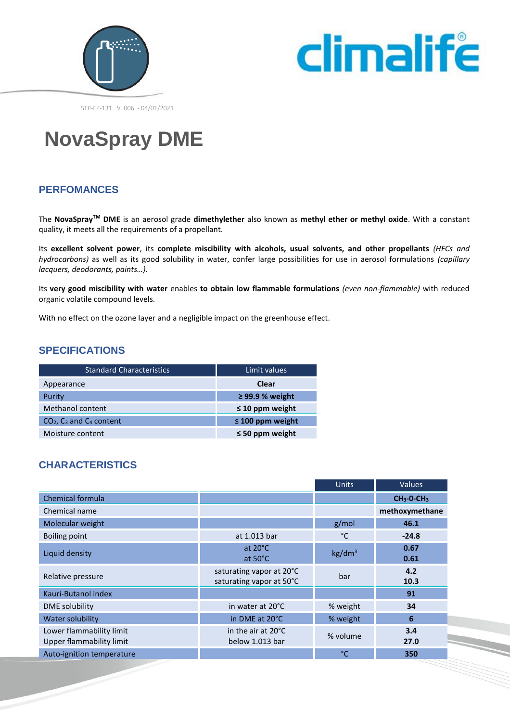



STP-FP-131 V. 006 - 04/01/2021

# **NovaSpray DME**

# **PERFOMANCES**

The **NovaSprayTM DME** is an aerosol grade **dimethylether** also known as **methyl ether or methyl oxide**. With a constant quality, it meets all the requirements of a propellant.

Its **excellent solvent power**, its **complete miscibility with alcohols, usual solvents, and other propellants** *(HFCs and hydrocarbons)* as well as its good solubility in water, confer large possibilities for use in aerosol formulations *(capillary lacquers, deodorants, paints…).*

Its **very good miscibility with water** enables **to obtain low flammable formulations** *(even non-flammable)* with reduced organic volatile compound levels.

With no effect on the ozone layer and a negligible impact on the greenhouse effect.

## **SPECIFICATIONS**

| <b>Standard Characteristics</b> | Limit values          |  |
|---------------------------------|-----------------------|--|
| Appearance                      | <b>Clear</b>          |  |
| Purity                          | $\geq$ 99.9 % weight  |  |
| Methanol content                | $\leq$ 10 ppm weight  |  |
| $CO2$ , $C3$ and $C4$ content   | $\leq$ 100 ppm weight |  |
| Moisture content                | $\leq$ 50 ppm weight  |  |

# **CHARACTERISTICS**

|                                                      |                                                      | <b>Units</b>       | <b>Values</b>  |
|------------------------------------------------------|------------------------------------------------------|--------------------|----------------|
| Chemical formula                                     |                                                      |                    | $CH3-O-CH3$    |
| Chemical name                                        |                                                      |                    | methoxymethane |
| Molecular weight                                     |                                                      | g/mol              | 46.1           |
| <b>Boiling point</b>                                 | at 1.013 bar                                         | °C                 | $-24.8$        |
| Liquid density                                       | at $20^{\circ}$ C<br>at $50^{\circ}$ C               | kg/dm <sup>3</sup> | 0.67<br>0.61   |
| Relative pressure                                    | saturating vapor at 20°C<br>saturating vapor at 50°C | bar                | 4.2<br>10.3    |
| Kauri-Butanol index                                  |                                                      |                    | 91             |
| DME solubility                                       | in water at 20°C                                     | % weight           | 34             |
| <b>Water solubility</b>                              | in DME at 20°C                                       | % weight           | 6              |
| Lower flammability limit<br>Upper flammability limit | in the air at 20°C<br>below 1.013 bar                | % volume           | 3.4<br>27.0    |
| Auto-ignition temperature                            |                                                      | °C                 | 350            |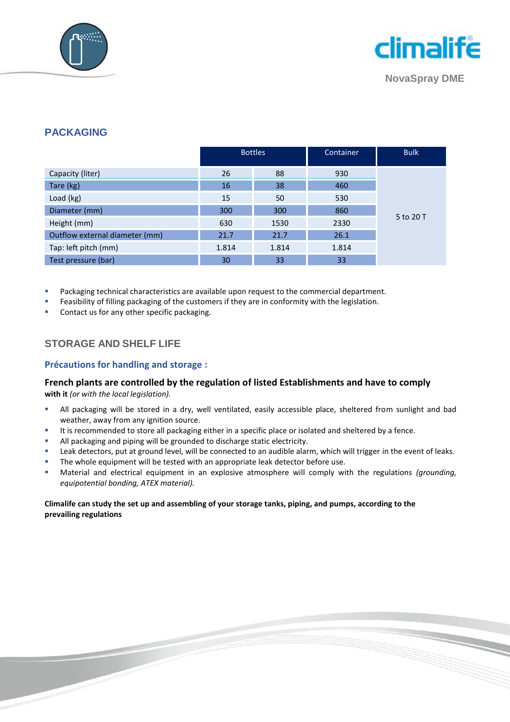



**NovaSpray DME**

## **PACKAGING**

|                                | <b>Bottles</b> |       | Container | <b>Bulk</b> |
|--------------------------------|----------------|-------|-----------|-------------|
| Capacity (liter)               | 26             | 88    | 930       |             |
| Tare (kg)                      | 16             | 38    | 460       |             |
| Load (kg)                      | 15             | 50    | 530       |             |
| Diameter (mm)                  | 300            | 300   | 860       |             |
| Height (mm)                    | 630            | 1530  | 2330      | 5 to 20 T   |
| Outflow external diameter (mm) | 21.7           | 21.7  | 26.1      |             |
| Tap: left pitch (mm)           | 1.814          | 1.814 | 1.814     |             |
| Test pressure (bar)            | 30             | 33    | 33        |             |

Packaging technical characteristics are available upon request to the commercial department.

Feasibility of filling packaging of the customers if they are in conformity with the legislation.

Contact us for any other specific packaging.

## **STORAGE AND SHELF LIFE**

#### **Précautions for handling and storage :**

#### **French plants are controlled by the regulation of listed Establishments and have to comply with it** *(or with the local legislation).*

- All packaging will be stored in a dry, well ventilated, easily accessible place, sheltered from sunlight and bad weather, away from any ignition source.
- It is recommended to store all packaging either in a specific place or isolated and sheltered by a fence.
- All packaging and piping will be grounded to discharge static electricity.
- Leak detectors, put at ground level, will be connected to an audible alarm, which will trigger in the event of leaks.
- The whole equipment will be tested with an appropriate leak detector before use.
- Material and electrical equipment in an explosive atmosphere will comply with the regulations *(grounding, equipotential bonding, ATEX material).*

#### **Climalife can study the set up and assembling of your storage tanks, piping, and pumps, according to the prevailing regulations**